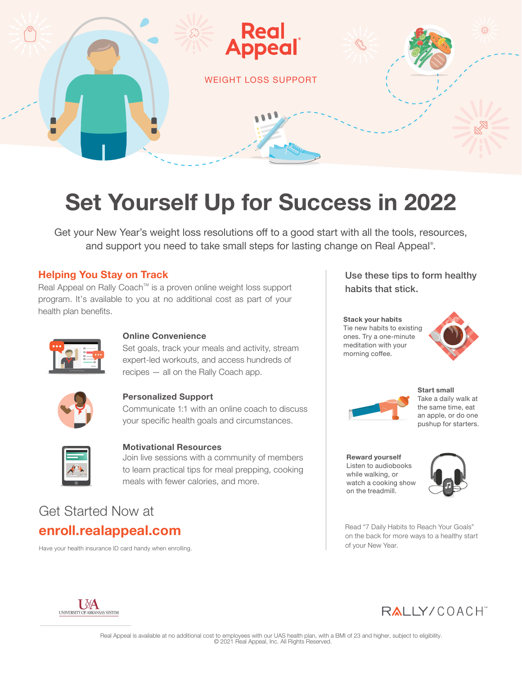

# **Set Yourself Up for Success in 2022**

Get your New Year's weight loss resolutions off to a good start with all the tools, resources, and support you need to take small steps for lasting change on Real Appeal® .

#### **Helping You Stay on Track**

Real Appeal on Rally Coach™ is a proven online weight loss support program. It's available to you at no additional cost as part of your health plan benefits.



#### **Online Convenience**

Set goals, track your meals and activity, stream expert-led workouts, and access hundreds of recipes — all on the Rally Coach app.



#### **Personalized Support**

Communicate 1:1 with an online coach to discuss your specific health goals and circumstances.



#### **Motivational Resources**

Join live sessions with a community of members to learn practical tips for meal prepping, cooking meals with fewer calories, and more.

## Get Started Now at **enroll.realappeal.com**

Have your health insurance ID card handy when enrolling.

Use these tips to form healthy habits that stick.

**Stack your habits** Tie new habits to existing ones. Try a one-minute meditation with your morning coffee.





**Start small** Take a daily walk at the same time, eat an apple, or do one pushup for starters.

**Reward yourself** Listen to audiobooks while walking, or watch a cooking show on the treadmill.



Read "7 Daily Habits to Reach Your Goals" on the back for more ways to a healthy start of your New Year.